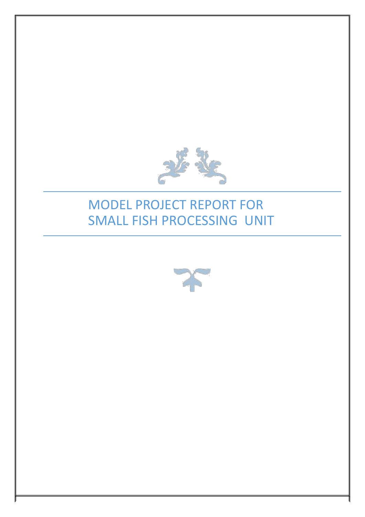

# MODEL PROJECT REPORT FOR SMALL FISH PROCESSING UNIT

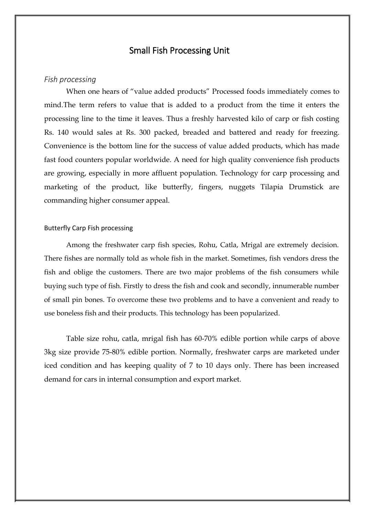### Small Fish Processing Unit

### *Fish processing*

When one hears of "value added products" Processed foods immediately comes to mind.The term refers to value that is added to a product from the time it enters the processing line to the time it leaves. Thus a freshly harvested kilo of carp or fish costing Rs. 140 would sales at Rs. 300 packed, breaded and battered and ready for freezing. Convenience is the bottom line for the success of value added products, which has made fast food counters popular worldwide. A need for high quality convenience fish products are growing, especially in more affluent population. Technology for carp processing and marketing of the product, like butterfly, fingers, nuggets Tilapia Drumstick are commanding higher consumer appeal.

#### Butterfly Carp Fish processing

Among the freshwater carp fish species, Rohu, Catla, Mrigal are extremely decision. There fishes are normally told as whole fish in the market. Sometimes, fish vendors dress the fish and oblige the customers. There are two major problems of the fish consumers while buying such type of fish. Firstly to dress the fish and cook and secondly, innumerable number of small pin bones. To overcome these two problems and to have a convenient and ready to use boneless fish and their products. This technology has been popularized.

Table size rohu, catla, mrigal fish has 60-70% edible portion while carps of above 3kg size provide 75-80% edible portion. Normally, freshwater carps are marketed under iced condition and has keeping quality of 7 to 10 days only. There has been increased demand for cars in internal consumption and export market.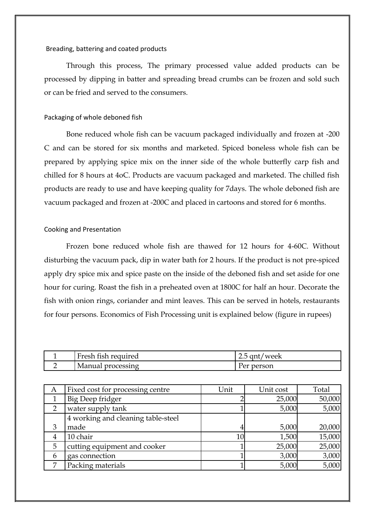#### Breading, battering and coated products

Through this process, The primary processed value added products can be processed by dipping in batter and spreading bread crumbs can be frozen and sold such or can be fried and served to the consumers.

#### Packaging of whole deboned fish

Bone reduced whole fish can be vacuum packaged individually and frozen at -200 C and can be stored for six months and marketed. Spiced boneless whole fish can be prepared by applying spice mix on the inner side of the whole butterfly carp fish and chilled for 8 hours at 4oC. Products are vacuum packaged and marketed. The chilled fish products are ready to use and have keeping quality for 7days. The whole deboned fish are vacuum packaged and frozen at -200C and placed in cartoons and stored for 6 months.

#### Cooking and Presentation

Frozen bone reduced whole fish are thawed for 12 hours for 4-60C. Without disturbing the vacuum pack, dip in water bath for 2 hours. If the product is not pre-spiced apply dry spice mix and spice paste on the inside of the deboned fish and set aside for one hour for curing. Roast the fish in a preheated oven at 1800C for half an hour. Decorate the fish with onion rings, coriander and mint leaves. This can be served in hotels, restaurants for four persons. Economics of Fish Processing unit is explained below (figure in rupees)

| T.<br>Fresh fish required | 2.5 gnt/week  |
|---------------------------|---------------|
| Manual<br>processing      | person<br>Per |

| A | Fixed cost for processing centre   | Unit | Unit cost | Total  |
|---|------------------------------------|------|-----------|--------|
|   | Big Deep fridger                   |      | 25,000    | 50,000 |
|   | water supply tank                  |      | 5,000     | 5,000  |
|   | 4 working and cleaning table-steel |      |           |        |
| 3 | made                               |      | 5,000     | 20,000 |
| 4 | 10 chair                           |      | 1,500     | 15,000 |
| 5 | cutting equipment and cooker       |      | 25,000    | 25,000 |
| 6 | gas connection                     |      | 3,000     | 3,000  |
| 7 | Packing materials                  |      | 5,000     | 5,000  |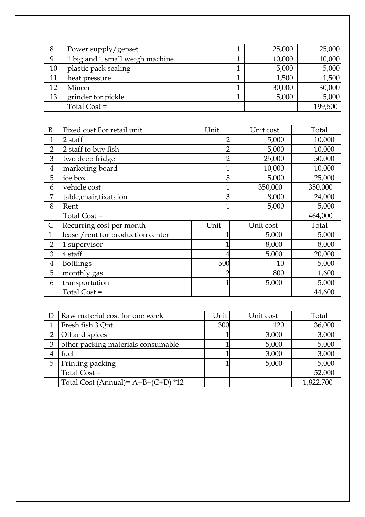| 8  | Power supply/genset             | 25,000 | 25,000  |
|----|---------------------------------|--------|---------|
| 9  | 1 big and 1 small weigh machine | 10,000 | 10,000  |
| 10 | plastic pack sealing            | 5,000  | 5,000   |
| 11 | heat pressure                   | 1,500  | 1,500   |
| 12 | Mincer                          | 30,000 | 30,000  |
| 13 | grinder for pickle              | 5,000  | 5,000   |
|    | Total Cost =                    |        | 199,500 |

| B              | Fixed cost For retail unit         | Unit           | Unit cost | Total   |
|----------------|------------------------------------|----------------|-----------|---------|
| $\mathbf{1}$   | 2 staff                            | $\overline{2}$ | 5,000     | 10,000  |
| $\overline{2}$ | 2 staff to buy fish                | $\overline{2}$ | 5,000     | 10,000  |
| 3              | two deep fridge                    | $\overline{2}$ | 25,000    | 50,000  |
| $\overline{4}$ | marketing board                    | $\mathbf{1}$   | 10,000    | 10,000  |
| 5              | ice box                            | 5              | 5,000     | 25,000  |
| 6              | vehicle cost                       | $\mathbf 1$    | 350,000   | 350,000 |
| 7              | table,chair,fixataion              | 3              | 8,000     | 24,000  |
| 8              | Rent                               | $\mathbf 1$    | 5,000     | 5,000   |
|                | Total Cost =                       |                |           | 464,000 |
| $\mathsf{C}$   | Recurring cost per month           | Unit           | Unit cost | Total   |
| $\mathbf{1}$   | lease / rent for production center |                | 5,000     | 5,000   |
| $\overline{2}$ | 1 supervisor                       |                | 8,000     | 8,000   |
| 3              | 4 staff                            |                | 5,000     | 20,000  |
| 4              | <b>Bottlings</b>                   | 500            | 10        | 5,000   |
| 5              | monthly gas                        | 2              | 800       | 1,600   |
| 6              | transportation                     |                | 5,000     | 5,000   |
|                | Total Cost =                       |                |           | 44,600  |

| D | Raw material cost for one week        | Unit | Unit cost | Total     |
|---|---------------------------------------|------|-----------|-----------|
|   | Fresh fish 3 Qnt                      | 300  | 120       | 36,000    |
| 2 | Oil and spices                        |      | 3,000     | 3,000     |
| 3 | other packing materials consumable    |      | 5,000     | 5,000     |
|   | fuel                                  |      | 3,000     | 3,000     |
| 5 | Printing packing                      |      | 5,000     | 5,000     |
|   | Total Cost =                          |      |           | 52,000    |
|   | Total Cost (Annual) = $A+B+(C+D)$ *12 |      |           | 1,822,700 |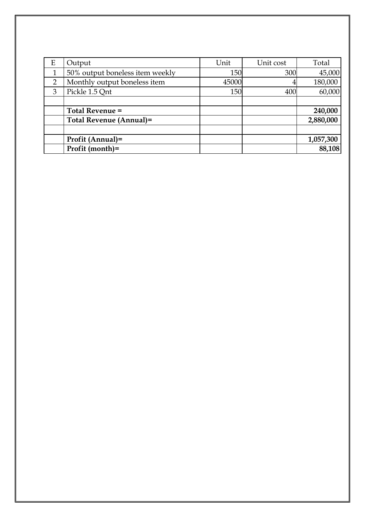| Ε              | Output                          | Unit  | Unit cost | Total     |
|----------------|---------------------------------|-------|-----------|-----------|
| 1              | 50% output boneless item weekly | 150   | 300       | 45,000    |
| $\overline{2}$ | Monthly output boneless item    | 45000 |           | 180,000   |
| 3              | Pickle 1.5 Qnt                  | 150   | 400       | 60,000    |
|                |                                 |       |           |           |
|                | Total Revenue =                 |       |           | 240,000   |
|                | Total Revenue (Annual)=         |       |           | 2,880,000 |
|                |                                 |       |           |           |
|                | Profit (Annual)=                |       |           | 1,057,300 |
|                | Profit (month)=                 |       |           | 88,108    |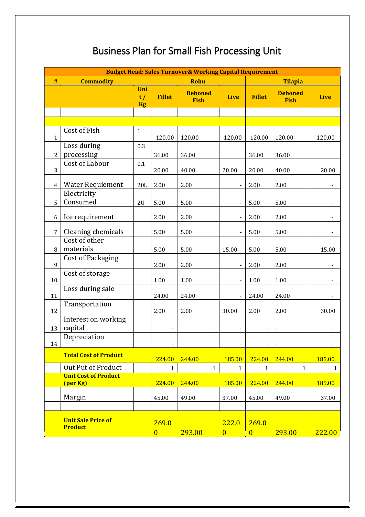## Business Plan for Small Fish Processing Unit

|                |                                             |                        |                         | <b>Budget Head: Sales Turnover&amp; Working Capital Requirement</b> |                         |                         |                               |                          |
|----------------|---------------------------------------------|------------------------|-------------------------|---------------------------------------------------------------------|-------------------------|-------------------------|-------------------------------|--------------------------|
| #              | <b>Commodity</b>                            |                        |                         | <b>Rohu</b>                                                         |                         |                         | <b>Tilapia</b>                |                          |
|                |                                             | Uni<br>t/<br><b>Kg</b> | <b>Fillet</b>           | <b>Deboned</b><br><b>Fish</b>                                       | <b>Live</b>             | <b>Fillet</b>           | <b>Deboned</b><br><b>Fish</b> | <b>Live</b>              |
|                |                                             |                        |                         |                                                                     |                         |                         |                               |                          |
|                |                                             |                        |                         |                                                                     |                         |                         |                               |                          |
| $\mathbf{1}$   | Cost of Fish                                | $\mathbf{1}$           | 120.00                  | 120.00                                                              | 120.00                  | 120.00                  | 120.00                        | 120.00                   |
| $\overline{2}$ | Loss during<br>processing                   | 0.3                    | 36.00                   | 36.00                                                               |                         | 36.00                   | 36.00                         |                          |
| 3              | Cost of Labour                              | 0.1                    | 20.00                   | 40.00                                                               | 20.00                   | 20.00                   | 40.00                         | 20.00                    |
| $\overline{4}$ | <b>Water Requiement</b>                     | 20L                    | 2.00                    | 2.00                                                                |                         | 2.00                    | 2.00                          |                          |
| 5              | Electricity<br>Consumed                     | 2U                     | 5.00                    | 5.00                                                                |                         | 5.00                    | 5.00                          |                          |
| 6              | Ice requirement                             |                        | 2.00                    | 2.00                                                                |                         | 2.00                    | 2.00                          |                          |
| 7              | Cleaning chemicals                          |                        | 5.00                    | 5.00                                                                |                         | 5.00                    | 5.00                          |                          |
| 8              | Cost of other<br>materials                  |                        | 5.00                    | 5.00                                                                | 15.00                   | 5.00                    | 5.00                          | 15.00                    |
| 9              | <b>Cost of Packaging</b>                    |                        | 2.00                    | 2.00                                                                |                         | 2.00                    | 2.00                          |                          |
| 10             | Cost of storage                             |                        | $1.00\,$                | 1.00                                                                |                         | 1.00                    | 1.00                          |                          |
| 11             | Loss during sale                            |                        | 24.00                   | 24.00                                                               |                         | 24.00                   | 24.00                         |                          |
| 12             | Transportation                              |                        | 2.00                    | 2.00                                                                | 30.00                   | 2.00                    | 2.00                          | 30.00                    |
| 13             | Interest on working<br>capital              |                        |                         |                                                                     |                         |                         |                               |                          |
| 14             | Depreciation                                |                        |                         |                                                                     |                         |                         | $\blacksquare$                | $\overline{\phantom{a}}$ |
|                | <b>Total Cost of Product</b>                |                        | 224.00                  | 244.00                                                              | 185.00                  | 224.00                  | 244.00                        | 185.00                   |
|                | Out Put of Product                          |                        | $\mathbf{1}$            | $\mathbf{1}$                                                        | $\mathbf{1}$            | $\mathbf{1}$            | $\mathbf{1}$                  | $\mathbf{1}$             |
|                | <b>Unit Cost of Product</b><br>(per Kg)     |                        | 224.00                  | 244.00                                                              | 185.00                  | 224.00                  | 244.00                        | 185.00                   |
|                | Margin                                      |                        | 45.00                   | 49.00                                                               | 37.00                   | 45.00                   | 49.00                         | 37.00                    |
|                |                                             |                        |                         |                                                                     |                         |                         |                               |                          |
|                | <b>Unit Sale Price of</b><br><b>Product</b> |                        | 269.0<br>$\overline{0}$ | 293.00                                                              | 222.0<br>$\overline{0}$ | 269.0<br>$\overline{0}$ | 293.00                        | 222.00                   |